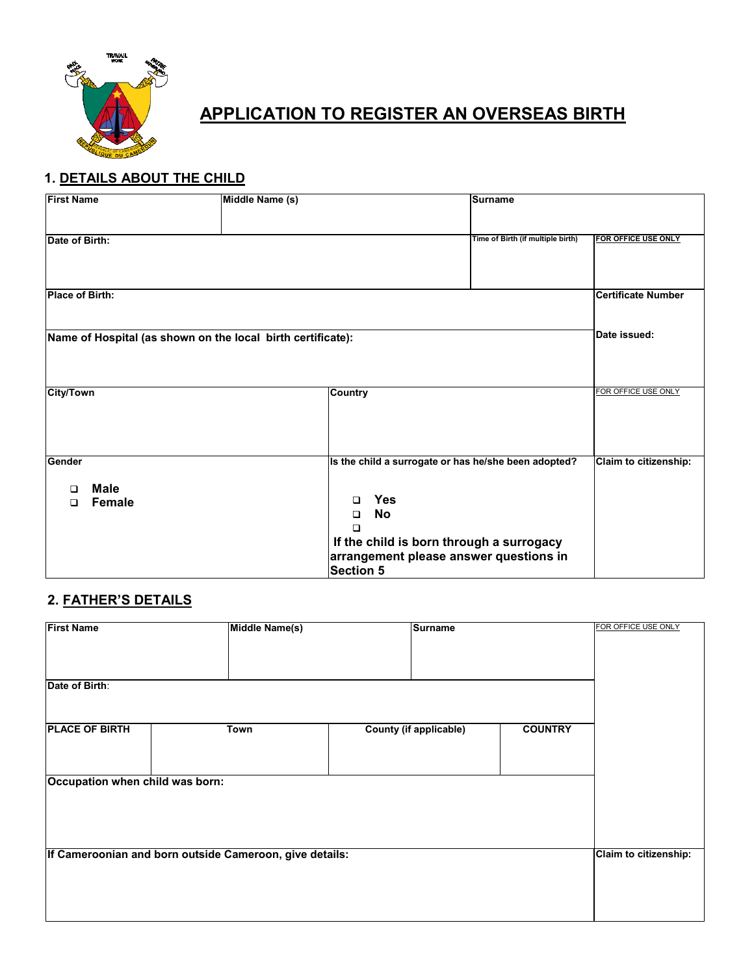

# **APPLICATION TO REGISTER AN OVERSEAS BIRTH**

# **1. DETAILS ABOUT THE CHILD**

| <b>First Name</b>                                           |                              | Middle Name (s) |                                                                                                                                                                                                                         | <b>Surname</b>                    |                           |
|-------------------------------------------------------------|------------------------------|-----------------|-------------------------------------------------------------------------------------------------------------------------------------------------------------------------------------------------------------------------|-----------------------------------|---------------------------|
| Date of Birth:                                              |                              |                 |                                                                                                                                                                                                                         | Time of Birth (if multiple birth) | FOR OFFICE USE ONLY       |
| <b>Place of Birth:</b>                                      |                              |                 |                                                                                                                                                                                                                         |                                   | <b>Certificate Number</b> |
| Name of Hospital (as shown on the local birth certificate): |                              |                 |                                                                                                                                                                                                                         |                                   | Date issued:              |
| <b>City/Town</b>                                            |                              |                 | <b>Country</b>                                                                                                                                                                                                          |                                   | FOR OFFICE USE ONLY       |
|                                                             |                              |                 |                                                                                                                                                                                                                         |                                   |                           |
| Gender<br>n<br>□                                            | <b>Male</b><br><b>Female</b> |                 | Is the child a surrogate or has he/she been adopted?<br><b>Yes</b><br>$\Box$<br><b>No</b><br>$\Box$<br>$\Box$<br>If the child is born through a surrogacy<br>arrangement please answer questions in<br><b>Section 5</b> |                                   | Claim to citizenship:     |

# **2. FATHER'S DETAILS**

| <b>First Name</b>                                       | Middle Name(s)        | Surname                       |                |  |
|---------------------------------------------------------|-----------------------|-------------------------------|----------------|--|
|                                                         |                       |                               |                |  |
|                                                         |                       |                               |                |  |
| Date of Birth:                                          |                       |                               |                |  |
| <b>PLACE OF BIRTH</b>                                   | Town                  | <b>County (if applicable)</b> | <b>COUNTRY</b> |  |
|                                                         |                       |                               |                |  |
|                                                         |                       |                               |                |  |
| Occupation when child was born:                         |                       |                               |                |  |
|                                                         |                       |                               |                |  |
|                                                         |                       |                               |                |  |
|                                                         |                       |                               |                |  |
|                                                         |                       |                               |                |  |
|                                                         |                       |                               |                |  |
| If Cameroonian and born outside Cameroon, give details: | Claim to citizenship: |                               |                |  |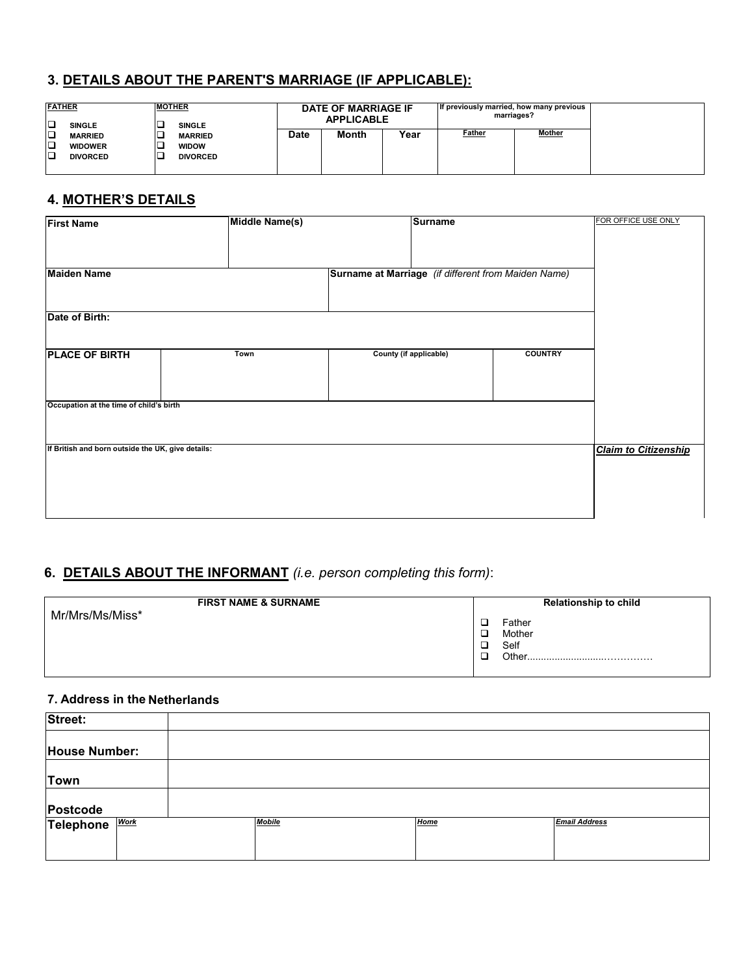### **3. DETAILS ABOUT THE PARENT'S MARRIAGE (IF APPLICABLE):**

| <b>FATHER</b><br>o<br><b>SINGLE</b>                                  | <b>MOTHER</b> | <b>SINGLE</b>                                     |             | DATE OF MARRIAGE IF<br><b>APPLICABLE</b> |      | If previously married, how many previous<br>marriages? |               |
|----------------------------------------------------------------------|---------------|---------------------------------------------------|-------------|------------------------------------------|------|--------------------------------------------------------|---------------|
| o<br><b>MARRIED</b><br>∣□<br><b>WIDOWER</b><br>10<br><b>DIVORCED</b> |               | <b>MARRIED</b><br><b>WIDOW</b><br><b>DIVORCED</b> | <b>Date</b> | <b>Month</b>                             | Year | Father                                                 | <b>Mother</b> |

# **4. MOTHER'S DETAILS**

| <b>First Name</b>                                 | Middle Name(s) | <b>Surname</b>                                      |                | FOR OFFICE USE ONLY         |
|---------------------------------------------------|----------------|-----------------------------------------------------|----------------|-----------------------------|
|                                                   |                |                                                     |                |                             |
| <b>Maiden Name</b>                                |                | Surname at Marriage (if different from Maiden Name) |                |                             |
|                                                   |                |                                                     |                |                             |
| Date of Birth:                                    |                |                                                     |                |                             |
|                                                   |                |                                                     |                |                             |
| <b>PLACE OF BIRTH</b>                             | Town           | <b>County (if applicable)</b>                       | <b>COUNTRY</b> |                             |
|                                                   |                |                                                     |                |                             |
| Occupation at the time of child's birth           |                |                                                     |                |                             |
|                                                   |                |                                                     |                |                             |
| If British and born outside the UK, give details: |                |                                                     |                | <b>Claim to Citizenship</b> |
|                                                   |                |                                                     |                |                             |
|                                                   |                |                                                     |                |                             |
|                                                   |                |                                                     |                |                             |

# **6. DETAILS ABOUT THE INFORMANT** *(i.e. person completing this form)*:

| <b>FIRST NAME &amp; SURNAME</b> | <b>Relationship to child</b>       |  |  |  |
|---------------------------------|------------------------------------|--|--|--|
| Mr/Mrs/Ms/Miss*                 | Father<br>Mother<br>Self<br>Other. |  |  |  |

#### **7. Address in the Netherlands**

| Street:        |               |             |                      |  |
|----------------|---------------|-------------|----------------------|--|
| House Number:  |               |             |                      |  |
|                |               |             |                      |  |
| <b>Town</b>    |               |             |                      |  |
| Postcode       |               |             |                      |  |
| Telephone Work | <b>Mobile</b> | <b>Home</b> | <b>Email Address</b> |  |
|                |               |             |                      |  |
|                |               |             |                      |  |